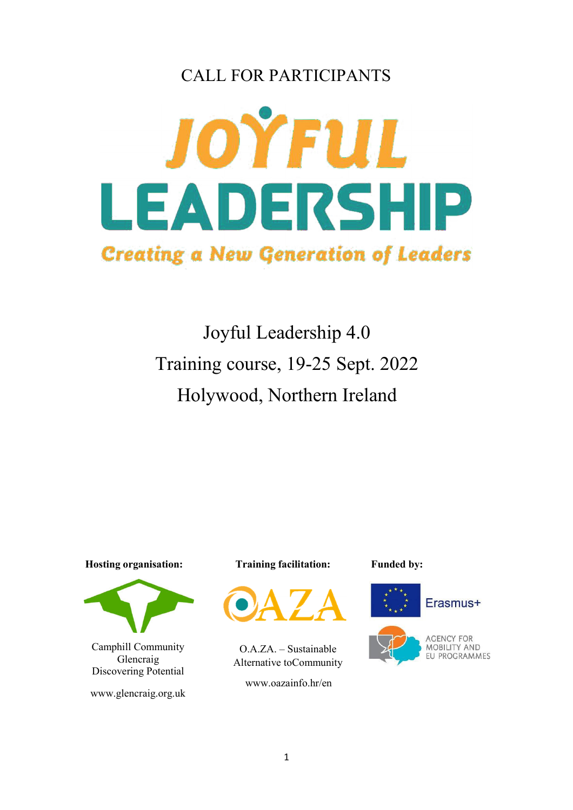# CALL FOR PARTICIPANTS



Joyful Leadership 4.0 Training course, 19-25 Sept. 2022 Holywood, Northern Ireland

 **Hosting organisation:** 



Camphill Community Glencraig Discovering Potential

www.glencraig.org.uk

 **Training facilitation:**



O.A.ZA. – Sustainable Alternative to Community

www.oazainfo.hr/en

 **Funded by:**

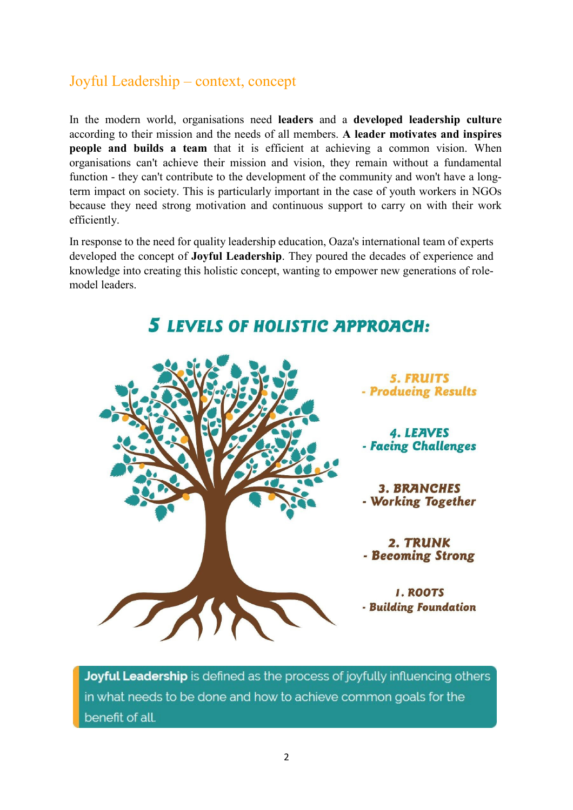#### Joyful Leadership – context, concept

In the modern world, organisations need **leaders** and a **developed leadership culture**  according to their mission and the needs of all members. **A leader motivates and inspires people and builds a team** that it is efficient at achieving a common vision. When organisations can't achieve their mission and vision, they remain without a fundamental function - they can't contribute to the development of the community and won't have a longterm impact on society. This is particularly important in the case of youth workers in NGOs because they need strong motivation and continuous support to carry on with their work efficiently.

In response to the need for quality leadership education, Oaza's international team of experts developed the concept of **Joyful Leadership**. They poured the decades of experience and knowledge into creating this holistic concept, wanting to empower new generations of rolemodel leaders.

**5 LEVELS OF HOLISTIC APPROACH:** 

**5. FRUITS** - Producing Results

**4. LEAVES** - Facing Challenges

**3. BRANCHES** - Working Together

2. TRUNK - Becoming Strong

**I. ROOTS** - Building Foundation

Joyful Leadership is defined as the process of joyfully influencing others in what needs to be done and how to achieve common goals for the benefit of all.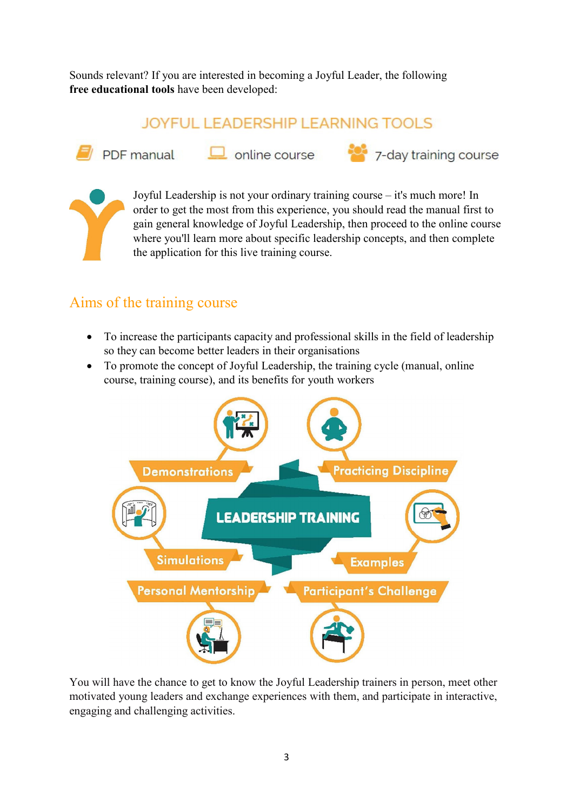Sounds relevant? If you are interested in becoming a Joyful Leader, the following **free educational tools** have been developed:

## **JOYFUL LEADERSHIP LEARNING TOOLS**



 $\Box$  online course



Joyful Leadership is not your ordinary training course – it's much more! In order to get the most from this experience, you should read the manual first to gain general knowledge of Joyful Leadership, then proceed to the online course where you'll learn more about specific leadership concepts, and then complete the application for this live training course.

7-day training course

## Aims of the training course

- To increase the participants capacity and professional skills in the field of leadership so they can become better leaders in their organisations
- To promote the concept of Joyful Leadership, the training cycle (manual, online course, training course), and its benefits for youth workers



You will have the chance to get to know the Joyful Leadership trainers in person, meet other motivated young leaders and exchange experiences with them, and participate in interactive, engaging and challenging activities.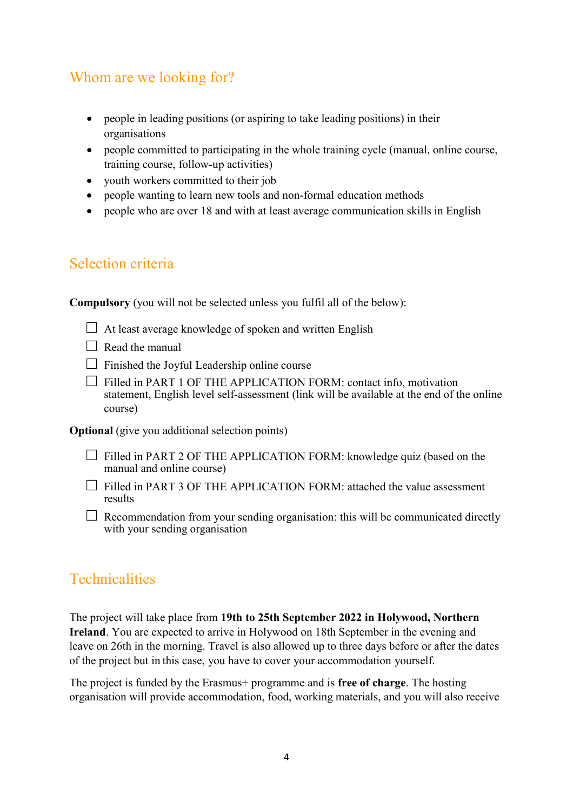## Whom are we looking for?

- people in leading positions (or aspiring to take leading positions) in their organisations
- people committed to participating in the whole training cycle (manual, online course, training course, follow-up activities)
- youth workers committed to their job
- people wanting to learn new tools and non-formal education methods
- people who are over 18 and with at least average communication skills in English

#### Selection criteria

**Compulsory** (you will not be selected unless you fulfil all of the below):

- $\Box$  At least average knowledge of spoken and written English
- $\Box$  Read the manual
- $\Box$  Finished the Joyful Leadership online course
- $\Box$  Filled in PART 1 OF THE APPLICATION FORM: contact info, motivation statement, English level self-assessment (link will be available at the end of the online course)

**Optional** (give you additional selection points)

- $\Box$  Filled in PART 2 OF THE APPLICATION FORM: knowledge quiz (based on the manual and online course)
- □ Filled in PART 3 OF THE APPLICATION FORM: attached the value assessment results
- $\Box$  Recommendation from your sending organisation: this will be communicated directly with your sending organisation

#### **Technicalities**

The project will take place from **19th to 25th September 2022 in Holywood, Northern Ireland**. You are expected to arrive in Holywood on 18th September in the evening and leave on 26th in the morning. Travel is also allowed up to three days before or after the dates of the project but in this case, you have to cover your accommodation yourself.

The project is funded by the Erasmus+ programme and is **free of charge**. The hosting organisation will provide accommodation, food, working materials, and you will also receive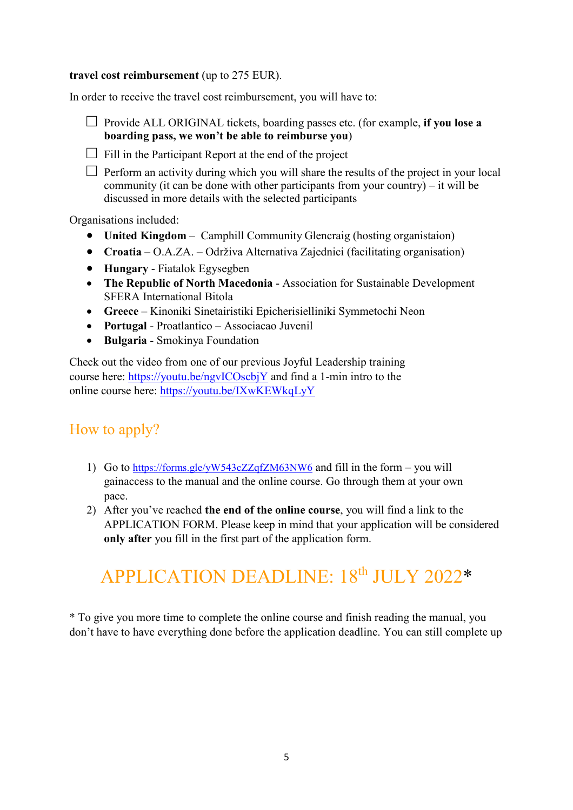#### **travel cost reimbursement** (up to 275 EUR).

In order to receive the travel cost reimbursement, you will have to:



 $\Box$  Fill in the Participant Report at the end of the project

 $\Box$  Perform an activity during which you will share the results of the project in your local community (it can be done with other participants from your country) – it will be discussed in more details with the selected participants

Organisations included:

- **United Kingdom** Camphill Community Glencraig (hosting organistaion)
- **Croatia** O.A.ZA. Održiva Alternativa Zajednici (facilitating organisation)
- **Hungary** Fiatalok Egysegben
- **The Republic of North Macedonia** Association for Sustainable Development SFERA International Bitola
- **Greece** Kinoniki Sinetairistiki Epicherisielliniki Symmetochi Neon
- **Portugal** Proatlantico Associacao Juvenil
- **Bulgaria** Smokinya Foundation

Check out the video from one of our previous Joyful Leadership training course here: https://youtu.be/ngvICOscbjY and find a 1-min intro to the online course here: https://youtu.be/IXwKEWkqLyY

#### How to apply?

- 1) Go to https://forms.gle/yW543cZZqfZM63NW6 and fill in the form you will gain access to the manual and the online course. Go through them at your own pace.
- 2) After you've reached **the end of the online course**, you will find a link to the APPLICATION FORM. Please keep in mind that your application will be considered **only after** you fill in the first part of the application form.

# APPLICATION DEADLINE: 18<sup>th</sup> JULY 2022\*

\* To give you more time to complete the online course and finish reading the manual, you don't have to have everything done before the application deadline. You can still complete up